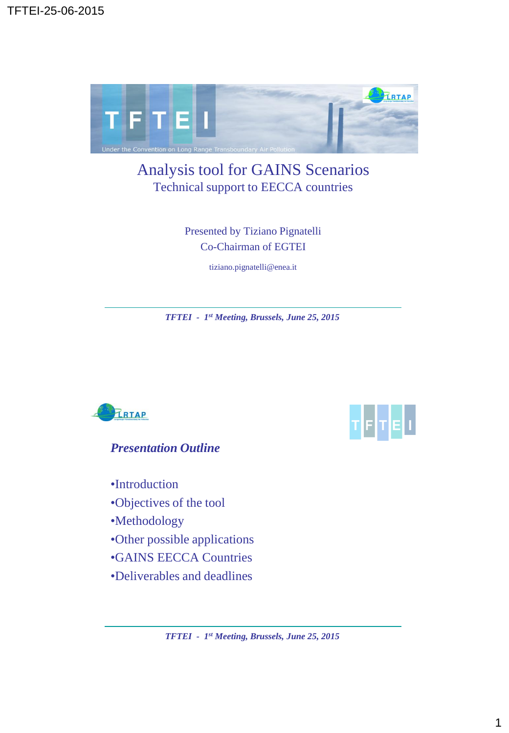

## Analysis tool for GAINS Scenarios Technical support to EECCA countries

Presented by Tiziano Pignatelli Co-Chairman of EGTEI

tiziano.pignatelli@enea.it

*TFTEI - 1 st Meeting, Brussels, June 25, 2015*



TETEL

*Presentation Outline*

•Introduction

•Objectives of the tool

•Methodology

•Other possible applications

•GAINS EECCA Countries

•Deliverables and deadlines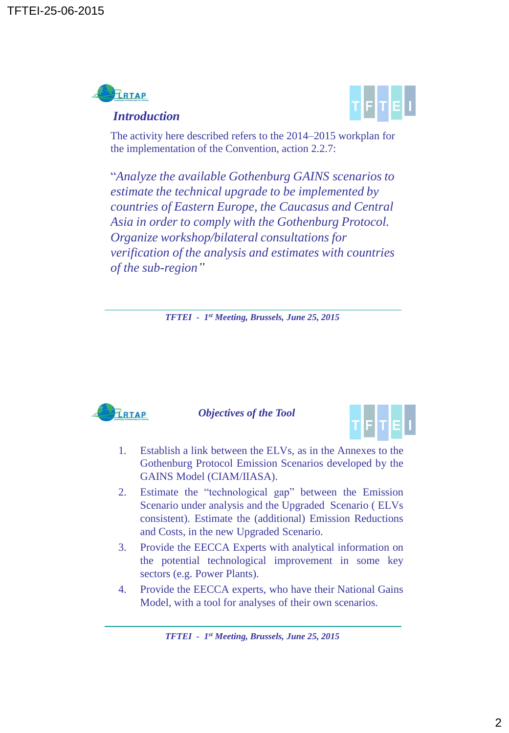

## *Introduction*



The activity here described refers to the 2014–2015 workplan for the implementation of the Convention, action 2.2.7:

"*Analyze the available Gothenburg GAINS scenarios to estimate the technical upgrade to be implemented by countries of Eastern Europe, the Caucasus and Central Asia in order to comply with the Gothenburg Protocol. Organize workshop/bilateral consultations for verification of the analysis and estimates with countries of the sub-region"* 

*TFTEI - 1 st Meeting, Brussels, June 25, 2015*



*Objectives of the Tool*



- 1. Establish a link between the ELVs, as in the Annexes to the Gothenburg Protocol Emission Scenarios developed by the GAINS Model (CIAM/IIASA).
- 2. Estimate the "technological gap" between the Emission Scenario under analysis and the Upgraded Scenario ( ELVs consistent). Estimate the (additional) Emission Reductions and Costs, in the new Upgraded Scenario.
- 3. Provide the EECCA Experts with analytical information on the potential technological improvement in some key sectors (e.g. Power Plants).
- 4. Provide the EECCA experts, who have their National Gains Model, with a tool for analyses of their own scenarios.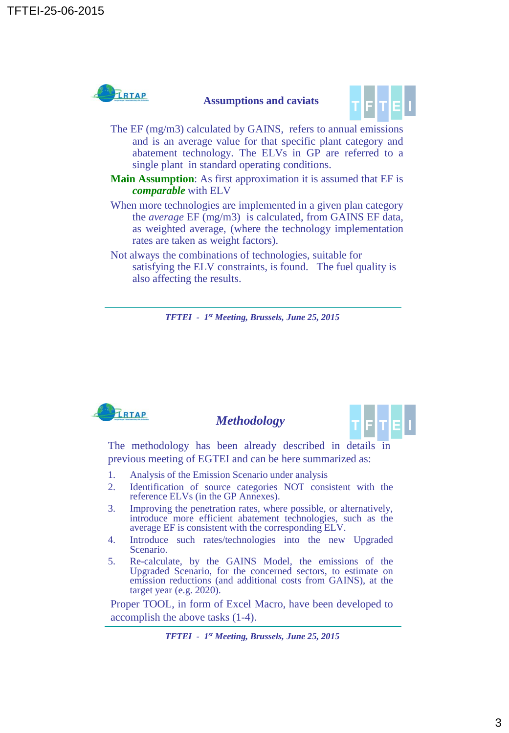

## **Assumptions and caviats**



- The EF (mg/m3) calculated by GAINS, refers to annual emissions and is an average value for that specific plant category and abatement technology. The ELVs in GP are referred to a single plant in standard operating conditions.
- **Main Assumption**: As first approximation it is assumed that EF is *comparable* with ELV
- When more technologies are implemented in a given plan category the *average* EF (mg/m3) is calculated, from GAINS EF data, as weighted average, (where the technology implementation rates are taken as weight factors).
- Not always the combinations of technologies, suitable for satisfying the ELV constraints, is found. The fuel quality is also affecting the results.

*TFTEI - 1 st Meeting, Brussels, June 25, 2015*



## *Methodology*



The methodology has been already described in details in previous meeting of EGTEI and can be here summarized as:

- 1. Analysis of the Emission Scenario under analysis
- 2. Identification of source categories NOT consistent with the reference ELVs (in the GP Annexes).
- 3. Improving the penetration rates, where possible, or alternatively, introduce more efficient abatement technologies, such as the average EF is consistent with the corresponding ELV.
- 4. Introduce such rates/technologies into the new Upgraded Scenario.
- 5. Re-calculate, by the GAINS Model, the emissions of the Upgraded Scenario, for the concerned sectors, to estimate on emission reductions (and additional costs from GAINS), at the target year (e.g. 2020).

Proper TOOL, in form of Excel Macro, have been developed to accomplish the above tasks (1-4).

*TFTEI - 1 st Meeting, Brussels, June 25, 2015*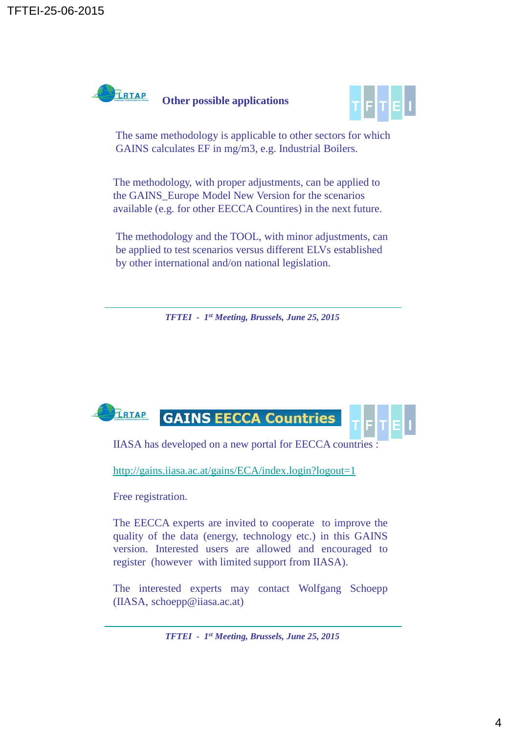



The same methodology is applicable to other sectors for which GAINS calculates EF in mg/m3, e.g. Industrial Boilers.

The methodology, with proper adjustments, can be applied to the GAINS\_Europe Model New Version for the scenarios available (e.g. for other EECCA Countires) in the next future.

The methodology and the TOOL, with minor adjustments, can be applied to test scenarios versus different ELVs established by other international and/on national legislation.

*TFTEI - 1 st Meeting, Brussels, June 25, 2015*



IIASA has developed on a new portal for EECCA countries :

<http://gains.iiasa.ac.at/gains/ECA/index.login?logout=1>

Free registration.

The EECCA experts are invited to cooperate to improve the quality of the data (energy, technology etc.) in this GAINS version. Interested users are allowed and encouraged to register (however with limited support from IIASA).

The interested experts may contact Wolfgang Schoepp (IIASA, schoepp@iiasa.ac.at)

*TFTEI - 1 st Meeting, Brussels, June 25, 2015*